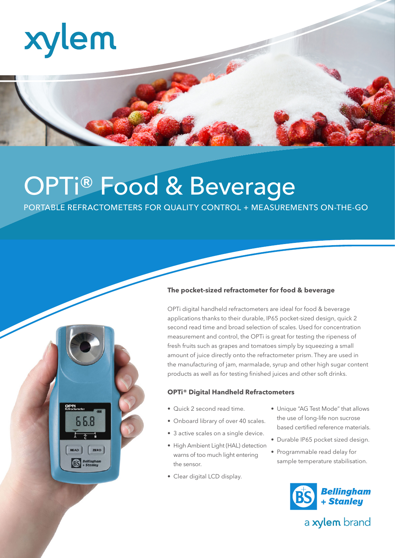

# OPTi® Food & Beverage

PORTABLE REFRACTOMETERS FOR QUALITY CONTROL + MEASUREMENTS ON-THE-GO



#### **The pocket-sized refractometer for food & beverage**

OPTi digital handheld refractometers are ideal for food & beverage applications thanks to their durable, IP65 pocket-sized design, quick 2 second read time and broad selection of scales. Used for concentration measurement and control, the OPTi is great for testing the ripeness of fresh fruits such as grapes and tomatoes simply by squeezing a small amount of juice directly onto the refractometer prism. They are used in the manufacturing of jam, marmalade, syrup and other high sugar content products as well as for testing finished juices and other soft drinks.

#### **OPTi® Digital Handheld Refractometers**

- Quick 2 second read time.
- Onboard library of over 40 scales.
- 3 active scales on a single device.
- High Ambient Light (HAL) detection warns of too much light entering the sensor.
- Clear digital LCD display.
- Unique "AG Test Mode" that allows the use of long-life non sucrose based certified reference materials.
- Durable IP65 pocket sized design.
- Programmable read delay for sample temperature stabilisation.